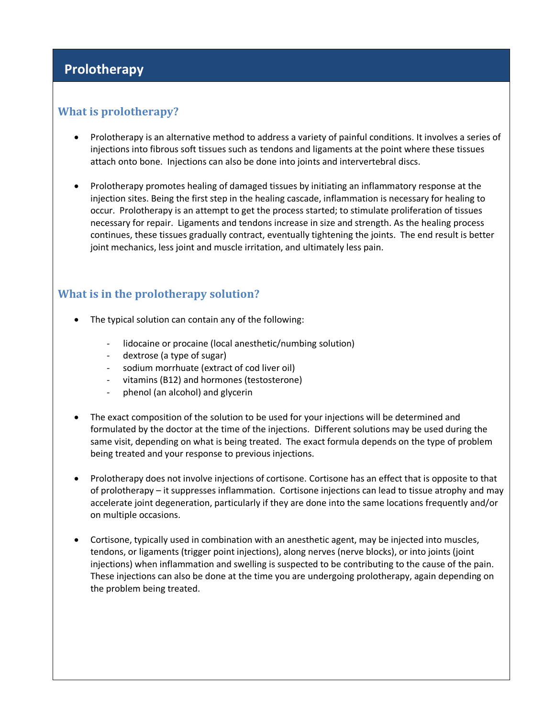# **Prolotherapy**

### **What is prolotherapy?**

- Prolotherapy is an alternative method to address a variety of painful conditions. It involves a series of injections into fibrous soft tissues such as tendons and ligaments at the point where these tissues attach onto bone. Injections can also be done into joints and intervertebral discs.
- Prolotherapy promotes healing of damaged tissues by initiating an inflammatory response at the injection sites. Being the first step in the healing cascade, inflammation is necessary for healing to occur. Prolotherapy is an attempt to get the process started; to stimulate proliferation of tissues necessary for repair. Ligaments and tendons increase in size and strength. As the healing process continues, these tissues gradually contract, eventually tightening the joints. The end result is better joint mechanics, less joint and muscle irritation, and ultimately less pain.

### **What is in the prolotherapy solution?**

- The typical solution can contain any of the following:
	- lidocaine or procaine (local anesthetic/numbing solution)
	- dextrose (a type of sugar)
	- sodium morrhuate (extract of cod liver oil)
	- vitamins (B12) and hormones (testosterone)
	- phenol (an alcohol) and glycerin
- The exact composition of the solution to be used for your injections will be determined and formulated by the doctor at the time of the injections. Different solutions may be used during the same visit, depending on what is being treated. The exact formula depends on the type of problem being treated and your response to previous injections.
- Prolotherapy does not involve injections of cortisone. Cortisone has an effect that is opposite to that of prolotherapy – it suppresses inflammation. Cortisone injections can lead to tissue atrophy and may accelerate joint degeneration, particularly if they are done into the same locations frequently and/or on multiple occasions.
- Cortisone, typically used in combination with an anesthetic agent, may be injected into muscles, tendons, or ligaments (trigger point injections), along nerves (nerve blocks), or into joints (joint injections) when inflammation and swelling is suspected to be contributing to the cause of the pain. These injections can also be done at the time you are undergoing prolotherapy, again depending on the problem being treated.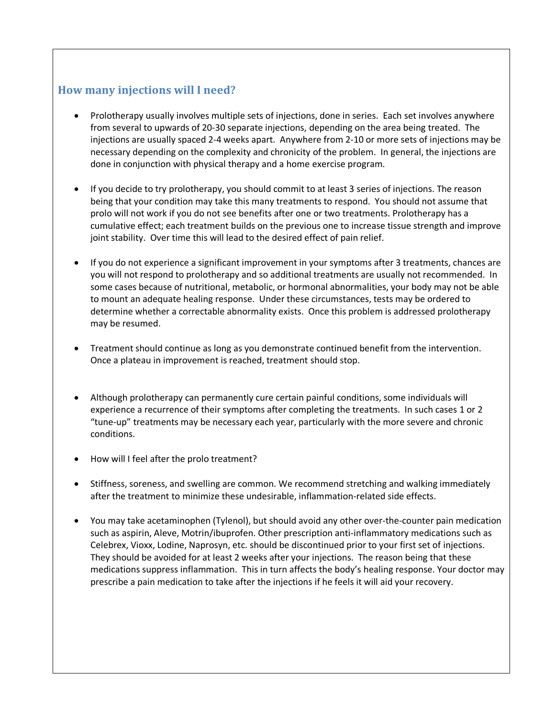### **How many injections will I need?**

- Prolotherapy usually involves multiple sets of injections, done in series. Each set involves anywhere from several to upwards of 20-30 separate injections, depending on the area being treated. The injections are usually spaced 2-4 weeks apart. Anywhere from 2-10 or more sets of injections may be necessary depending on the complexity and chronicity of the problem. In general, the injections are done in conjunction with physical therapy and a home exercise program.
- If you decide to try prolotherapy, you should commit to at least 3 series of injections. The reason being that your condition may take this many treatments to respond. You should not assume that prolo will not work if you do not see benefits after one or two treatments. Prolotherapy has a cumulative effect; each treatment builds on the previous one to increase tissue strength and improve joint stability. Over time this will lead to the desired effect of pain relief.
- If you do not experience a significant improvement in your symptoms after 3 treatments, chances are you will not respond to prolotherapy and so additional treatments are usually not recommended. In some cases because of nutritional, metabolic, or hormonal abnormalities, your body may not be able to mount an adequate healing response. Under these circumstances, tests may be ordered to determine whether a correctable abnormality exists. Once this problem is addressed prolotherapy may be resumed.
- Treatment should continue as long as you demonstrate continued benefit from the intervention. Once a plateau in improvement is reached, treatment should stop.
- Although prolotherapy can permanently cure certain painful conditions, some individuals will experience a recurrence of their symptoms after completing the treatments. In such cases 1 or 2 "tune-up" treatments may be necessary each year, particularly with the more severe and chronic conditions.
- How will I feel after the prolo treatment?
- Stiffness, soreness, and swelling are common. We recommend stretching and walking immediately after the treatment to minimize these undesirable, inflammation-related side effects.
- You may take acetaminophen (Tylenol), but should avoid any other over-the-counter pain medication such as aspirin, Aleve, Motrin/ibuprofen. Other prescription anti-inflammatory medications such as Celebrex, Vioxx, Lodine, Naprosyn, etc. should be discontinued prior to your first set of injections. They should be avoided for at least 2 weeks after your injections. The reason being that these medications suppress inflammation. This in turn affects the body's healing response. Your doctor may prescribe a pain medication to take after the injections if he feels it will aid your recovery.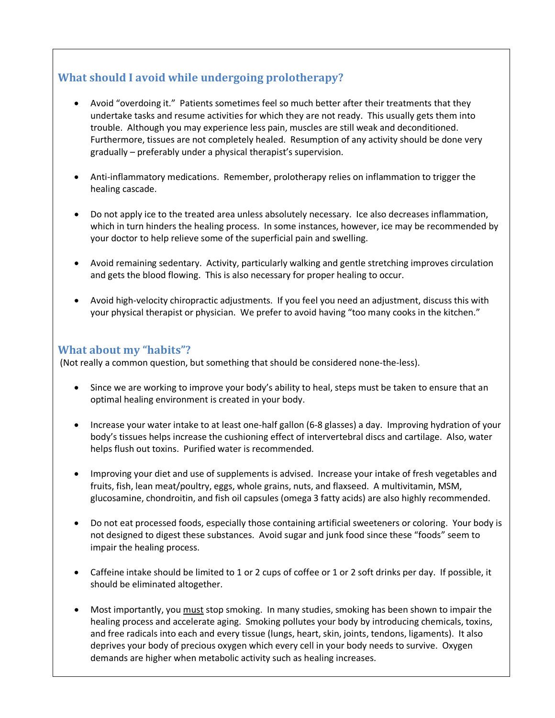# **What should I avoid while undergoing prolotherapy?**

- Avoid "overdoing it." Patients sometimes feel so much better after their treatments that they undertake tasks and resume activities for which they are not ready. This usually gets them into trouble. Although you may experience less pain, muscles are still weak and deconditioned. Furthermore, tissues are not completely healed. Resumption of any activity should be done very gradually – preferably under a physical therapist's supervision.
- Anti-inflammatory medications. Remember, prolotherapy relies on inflammation to trigger the healing cascade.
- Do not apply ice to the treated area unless absolutely necessary. Ice also decreases inflammation, which in turn hinders the healing process. In some instances, however, ice may be recommended by your doctor to help relieve some of the superficial pain and swelling.
- Avoid remaining sedentary. Activity, particularly walking and gentle stretching improves circulation and gets the blood flowing. This is also necessary for proper healing to occur.
- Avoid high-velocity chiropractic adjustments. If you feel you need an adjustment, discuss this with your physical therapist or physician. We prefer to avoid having "too many cooks in the kitchen."

#### **What about my "habits"?**

(Not really a common question, but something that should be considered none-the-less).

- Since we are working to improve your body's ability to heal, steps must be taken to ensure that an optimal healing environment is created in your body.
- Increase your water intake to at least one-half gallon (6-8 glasses) a day. Improving hydration of your body's tissues helps increase the cushioning effect of intervertebral discs and cartilage. Also, water helps flush out toxins. Purified water is recommended.
- Improving your diet and use of supplements is advised. Increase your intake of fresh vegetables and fruits, fish, lean meat/poultry, eggs, whole grains, nuts, and flaxseed. A multivitamin, MSM, glucosamine, chondroitin, and fish oil capsules (omega 3 fatty acids) are also highly recommended.
- Do not eat processed foods, especially those containing artificial sweeteners or coloring. Your body is not designed to digest these substances. Avoid sugar and junk food since these "foods" seem to impair the healing process.
- Caffeine intake should be limited to 1 or 2 cups of coffee or 1 or 2 soft drinks per day. If possible, it should be eliminated altogether.
- Most importantly, you must stop smoking. In many studies, smoking has been shown to impair the healing process and accelerate aging. Smoking pollutes your body by introducing chemicals, toxins, and free radicals into each and every tissue (lungs, heart, skin, joints, tendons, ligaments). It also deprives your body of precious oxygen which every cell in your body needs to survive. Oxygen demands are higher when metabolic activity such as healing increases.